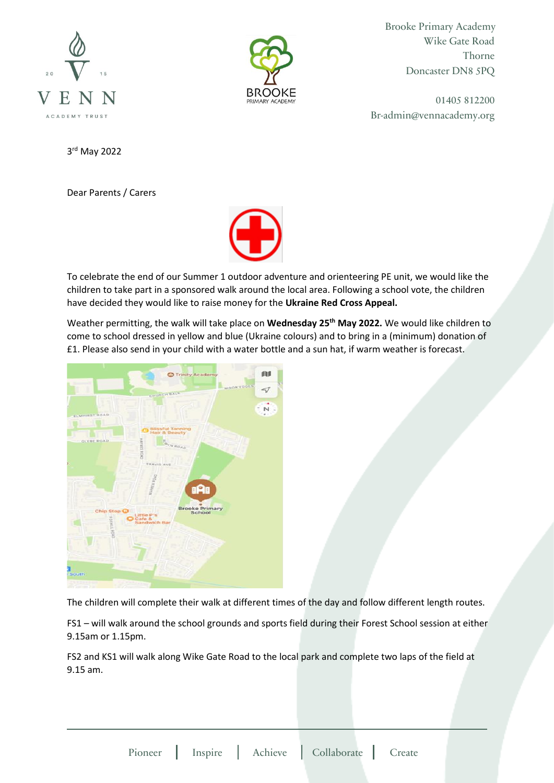



Brooke Primary Academy Wike Gate Road Thorne Doncaster DN8 5PQ

01405 812200 Br-admin@vennacademy.org

3 rd May 2022

Dear Parents / Carers



To celebrate the end of our Summer 1 outdoor adventure and orienteering PE unit, we would like the children to take part in a sponsored walk around the local area. Following a school vote, the children have decided they would like to raise money for the **Ukraine Red Cross Appeal.**

Weather permitting, the walk will take place on **Wednesday 25th May 2022.** We would like children to come to school dressed in yellow and blue (Ukraine colours) and to bring in a (minimum) donation of £1. Please also send in your child with a water bottle and a sun hat, if warm weather is forecast.



The children will complete their walk at different times of the day and follow different length routes.

FS1 – will walk around the school grounds and sports field during their Forest School session at either 9.15am or 1.15pm.

FS2 and KS1 will walk along Wike Gate Road to the local park and complete two laps of the field at 9.15 am.